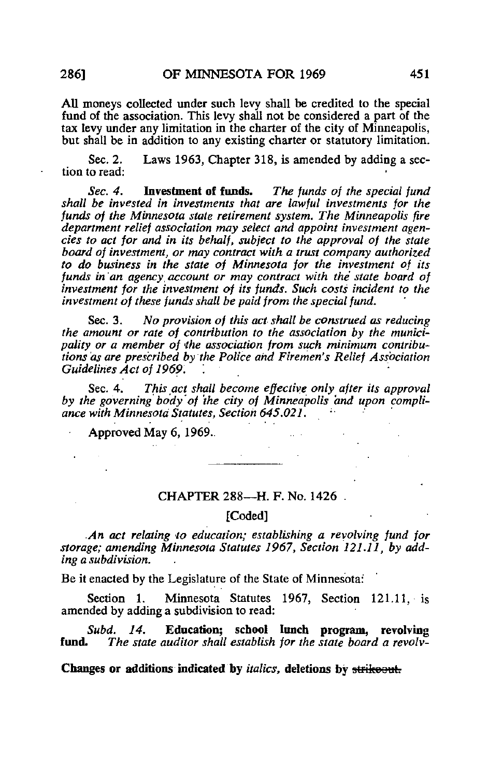All moneys collected under such levy shall be credited to the special fund of the association. This levy shall not be considered a part of the tax levy under any limitation in the charter of the city of Minneapolis, but shall be in addition to any existing charter or statutory limitation.

Sec. 2. Laws 1963, Chapter 318, is amended by adding a section to read:

Sec. 4. Investment of funds. The funds of the special fund shall be invested in investments that are lawful investments for the funds of the Minnesota state retirement system. The Minneapolis fire department relief association may select and appoint investment agencies to act for and in its behalf, subject to the approval of the state board of investment, or may contract with a trust company authorized to do business in the state of Minnesota for the investment of its funds in an agency account or may contract with the state board of investment for the investment of its funds. Such costs incident to the investment of these funds shall be paid from the special fund.

Sec. 3. No provision of this act shall be construed as reducing the amount or rate of contribution to the association by the municipality or a member of the association from such minimum contributions as are prescribed by the Police and Firemen's Relief Association Guidelines Act of 1969.

Sec. 4. This act shall become effective only after its approval by the governing body of the city of Minneapolis and upon compliance with Minnesota Statutes, Section 645.021.

Approved May 6, 1969.

## CHAPTER 288—H. F. No. 1426

## [Coded]

.An act relating to education; establishing a revolving fund for storage; amending Minnesota Statutes 1967, Section 121.11, by adding a subdivision.

Be it enacted by the Legislature of the State of Minnesota:

Section 1. Minnesota Statutes 1967, Section 121.11, is amended by adding a subdivision to read:

Subd. 14. Education; school lunch program, revolving<br>fund. The state auditor shall establish for the state board a revolv-The state auditor shall establish for the state board a revolv-

Changes or additions indicated by *italics*, deletions by strikeout.